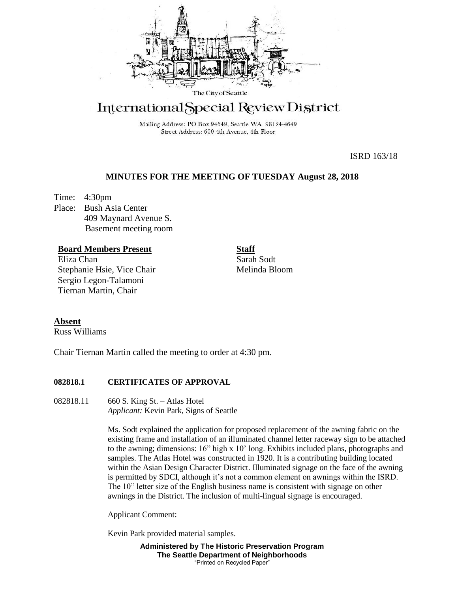

# International Special Review District

Mailing Address: PO Box 94649, Seattle WA 98124-4649 Street Address: 600 4th Avenue, 4th Floor

ISRD 163/18

# **MINUTES FOR THE MEETING OF TUESDAY August 28, 2018**

Time: 4:30pm Place: Bush Asia Center 409 Maynard Avenue S. Basement meeting room

# **Board Members Present**

Eliza Chan Stephanie Hsie, Vice Chair Sergio Legon-Talamoni Tiernan Martin, Chair

**Staff** Sarah Sodt Melinda Bloom

# **Absent**

Russ Williams

Chair Tiernan Martin called the meeting to order at 4:30 pm.

## **082818.1 CERTIFICATES OF APPROVAL**

082818.11 660 S. King St. – Atlas Hotel *Applicant:* Kevin Park, Signs of Seattle

> Ms. Sodt explained the application for proposed replacement of the awning fabric on the existing frame and installation of an illuminated channel letter raceway sign to be attached to the awning; dimensions: 16" high x 10' long. Exhibits included plans, photographs and samples. The Atlas Hotel was constructed in 1920. It is a contributing building located within the Asian Design Character District. Illuminated signage on the face of the awning is permitted by SDCI, although it's not a common element on awnings within the ISRD. The 10" letter size of the English business name is consistent with signage on other awnings in the District. The inclusion of multi-lingual signage is encouraged.

Applicant Comment:

Kevin Park provided material samples.

**Administered by The Historic Preservation Program The Seattle Department of Neighborhoods** "Printed on Recycled Paper"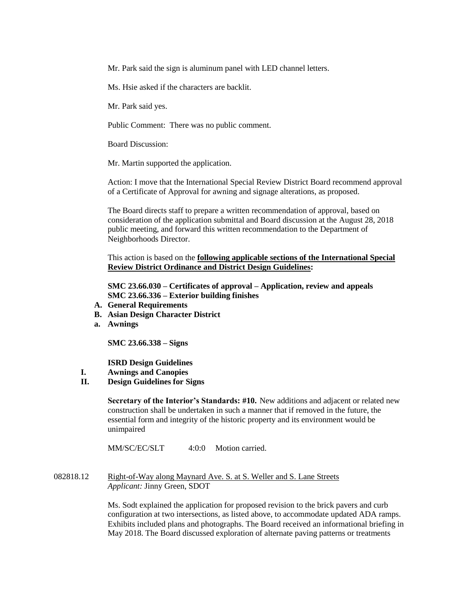Mr. Park said the sign is aluminum panel with LED channel letters.

Ms. Hsie asked if the characters are backlit.

Mr. Park said yes.

Public Comment: There was no public comment.

Board Discussion:

Mr. Martin supported the application.

Action: I move that the International Special Review District Board recommend approval of a Certificate of Approval for awning and signage alterations, as proposed.

The Board directs staff to prepare a written recommendation of approval, based on consideration of the application submittal and Board discussion at the August 28, 2018 public meeting, and forward this written recommendation to the Department of Neighborhoods Director.

This action is based on the **following applicable sections of the International Special Review District Ordinance and District Design Guidelines:** 

**SMC 23.66.030 – Certificates of approval – Application, review and appeals SMC 23.66.336 – Exterior building finishes**

- **A. General Requirements**
- **B. Asian Design Character District**
- **a. Awnings**

**SMC 23.66.338 – Signs** 

**ISRD Design Guidelines** 

- **I. Awnings and Canopies**
- **II. Design Guidelines for Signs**

**Secretary of the Interior's Standards: #10.** New additions and adjacent or related new construction shall be undertaken in such a manner that if removed in the future, the essential form and integrity of the historic property and its environment would be unimpaired

MM/SC/EC/SLT 4:0:0 Motion carried.

082818.12 Right-of-Way along Maynard Ave. S. at S. Weller and S. Lane Streets *Applicant:* Jinny Green, SDOT

> Ms. Sodt explained the application for proposed revision to the brick pavers and curb configuration at two intersections, as listed above, to accommodate updated ADA ramps. Exhibits included plans and photographs. The Board received an informational briefing in May 2018. The Board discussed exploration of alternate paving patterns or treatments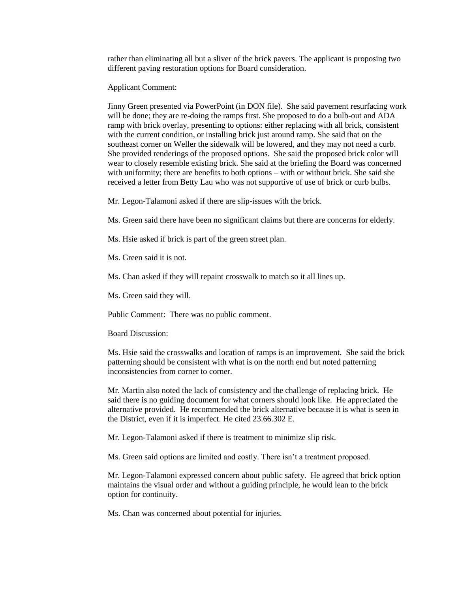rather than eliminating all but a sliver of the brick pavers. The applicant is proposing two different paving restoration options for Board consideration.

Applicant Comment:

Jinny Green presented via PowerPoint (in DON file). She said pavement resurfacing work will be done; they are re-doing the ramps first. She proposed to do a bulb-out and ADA ramp with brick overlay, presenting to options: either replacing with all brick, consistent with the current condition, or installing brick just around ramp. She said that on the southeast corner on Weller the sidewalk will be lowered, and they may not need a curb. She provided renderings of the proposed options. She said the proposed brick color will wear to closely resemble existing brick. She said at the briefing the Board was concerned with uniformity; there are benefits to both options – with or without brick. She said she received a letter from Betty Lau who was not supportive of use of brick or curb bulbs.

Mr. Legon-Talamoni asked if there are slip-issues with the brick.

Ms. Green said there have been no significant claims but there are concerns for elderly.

Ms. Hsie asked if brick is part of the green street plan.

Ms. Green said it is not.

Ms. Chan asked if they will repaint crosswalk to match so it all lines up.

Ms. Green said they will.

Public Comment: There was no public comment.

Board Discussion:

Ms. Hsie said the crosswalks and location of ramps is an improvement. She said the brick patterning should be consistent with what is on the north end but noted patterning inconsistencies from corner to corner.

Mr. Martin also noted the lack of consistency and the challenge of replacing brick. He said there is no guiding document for what corners should look like. He appreciated the alternative provided. He recommended the brick alternative because it is what is seen in the District, even if it is imperfect. He cited 23.66.302 E.

Mr. Legon-Talamoni asked if there is treatment to minimize slip risk.

Ms. Green said options are limited and costly. There isn't a treatment proposed.

Mr. Legon-Talamoni expressed concern about public safety. He agreed that brick option maintains the visual order and without a guiding principle, he would lean to the brick option for continuity.

Ms. Chan was concerned about potential for injuries.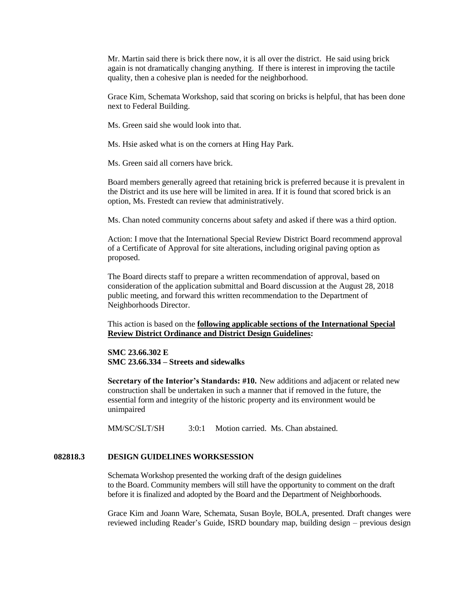Mr. Martin said there is brick there now, it is all over the district. He said using brick again is not dramatically changing anything. If there is interest in improving the tactile quality, then a cohesive plan is needed for the neighborhood.

Grace Kim, Schemata Workshop, said that scoring on bricks is helpful, that has been done next to Federal Building.

Ms. Green said she would look into that.

Ms. Hsie asked what is on the corners at Hing Hay Park.

Ms. Green said all corners have brick.

Board members generally agreed that retaining brick is preferred because it is prevalent in the District and its use here will be limited in area. If it is found that scored brick is an option, Ms. Frestedt can review that administratively.

Ms. Chan noted community concerns about safety and asked if there was a third option.

Action: I move that the International Special Review District Board recommend approval of a Certificate of Approval for site alterations, including original paving option as proposed.

The Board directs staff to prepare a written recommendation of approval, based on consideration of the application submittal and Board discussion at the August 28, 2018 public meeting, and forward this written recommendation to the Department of Neighborhoods Director.

This action is based on the **following applicable sections of the International Special Review District Ordinance and District Design Guidelines:** 

## **SMC 23.66.302 E SMC 23.66.334 – Streets and sidewalks**

**Secretary of the Interior's Standards: #10.** New additions and adjacent or related new construction shall be undertaken in such a manner that if removed in the future, the essential form and integrity of the historic property and its environment would be unimpaired

MM/SC/SLT/SH 3:0:1 Motion carried. Ms. Chan abstained.

## **082818.3 DESIGN GUIDELINES WORKSESSION**

Schemata Workshop presented the working draft of the design guidelines to the Board. Community members will still have the opportunity to comment on the draft before it is finalized and adopted by the Board and the Department of Neighborhoods.

Grace Kim and Joann Ware, Schemata, Susan Boyle, BOLA, presented. Draft changes were reviewed including Reader's Guide, ISRD boundary map, building design – previous design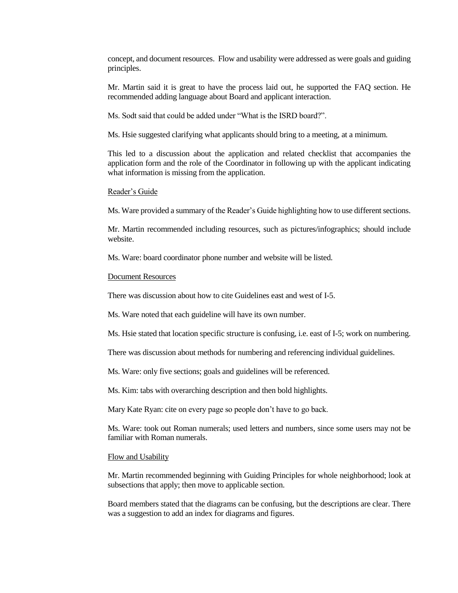concept, and document resources. Flow and usability were addressed as were goals and guiding principles.

Mr. Martin said it is great to have the process laid out, he supported the FAQ section. He recommended adding language about Board and applicant interaction.

Ms. Sodt said that could be added under "What is the ISRD board?".

Ms. Hsie suggested clarifying what applicants should bring to a meeting, at a minimum.

This led to a discussion about the application and related checklist that accompanies the application form and the role of the Coordinator in following up with the applicant indicating what information is missing from the application.

#### Reader's Guide

Ms. Ware provided a summary of the Reader's Guide highlighting how to use different sections.

Mr. Martin recommended including resources, such as pictures/infographics; should include website.

Ms. Ware: board coordinator phone number and website will be listed.

#### Document Resources

There was discussion about how to cite Guidelines east and west of I-5.

Ms. Ware noted that each guideline will have its own number.

Ms. Hsie stated that location specific structure is confusing, i.e. east of I-5; work on numbering.

There was discussion about methods for numbering and referencing individual guidelines.

Ms. Ware: only five sections; goals and guidelines will be referenced.

Ms. Kim: tabs with overarching description and then bold highlights.

Mary Kate Ryan: cite on every page so people don't have to go back.

Ms. Ware: took out Roman numerals; used letters and numbers, since some users may not be familiar with Roman numerals.

#### Flow and Usability

Mr. Martin recommended beginning with Guiding Principles for whole neighborhood; look at subsections that apply; then move to applicable section.

Board members stated that the diagrams can be confusing, but the descriptions are clear. There was a suggestion to add an index for diagrams and figures.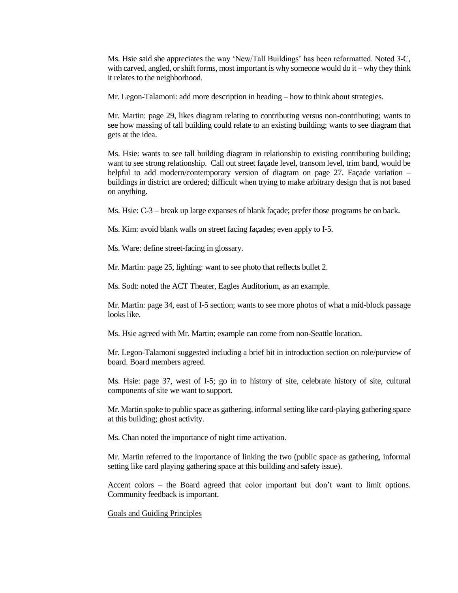Ms. Hsie said she appreciates the way 'New/Tall Buildings' has been reformatted. Noted 3-C, with carved, angled, or shift forms, most important is why someone would do it – why they think it relates to the neighborhood.

Mr. Legon-Talamoni: add more description in heading – how to think about strategies.

Mr. Martin: page 29, likes diagram relating to contributing versus non-contributing; wants to see how massing of tall building could relate to an existing building; wants to see diagram that gets at the idea.

Ms. Hsie: wants to see tall building diagram in relationship to existing contributing building; want to see strong relationship. Call out street façade level, transom level, trim band, would be helpful to add modern/contemporary version of diagram on page 27. Façade variation – buildings in district are ordered; difficult when trying to make arbitrary design that is not based on anything.

Ms. Hsie: C-3 – break up large expanses of blank façade; prefer those programs be on back.

Ms. Kim: avoid blank walls on street facing façades; even apply to I-5.

Ms. Ware: define street-facing in glossary.

Mr. Martin: page 25, lighting: want to see photo that reflects bullet 2.

Ms. Sodt: noted the ACT Theater, Eagles Auditorium, as an example.

Mr. Martin: page 34, east of I-5 section; wants to see more photos of what a mid-block passage looks like.

Ms. Hsie agreed with Mr. Martin; example can come from non-Seattle location.

Mr. Legon-Talamoni suggested including a brief bit in introduction section on role/purview of board. Board members agreed.

Ms. Hsie: page 37, west of I-5; go in to history of site, celebrate history of site, cultural components of site we want to support.

Mr. Martin spoke to public space as gathering, informal setting like card-playing gathering space at this building; ghost activity.

Ms. Chan noted the importance of night time activation.

Mr. Martin referred to the importance of linking the two (public space as gathering, informal setting like card playing gathering space at this building and safety issue).

Accent colors – the Board agreed that color important but don't want to limit options. Community feedback is important.

Goals and Guiding Principles